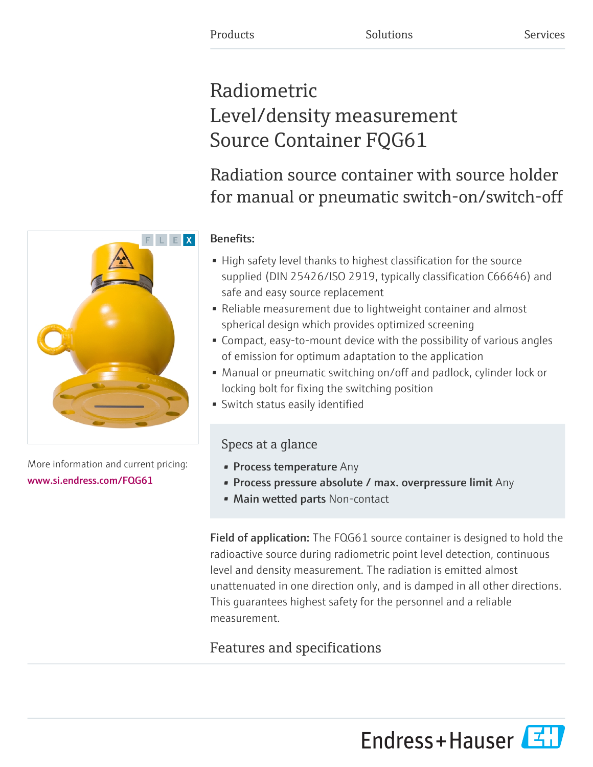# Radiometric Level/density measurement Source Container FQG61

# Radiation source container with source holder for manual or pneumatic switch-on/switch-off

# Benefits:

- High safety level thanks to highest classification for the source supplied (DIN 25426/ISO 2919, typically classification C66646) and safe and easy source replacement
- Reliable measurement due to lightweight container and almost spherical design which provides optimized screening
- Compact, easy-to-mount device with the possibility of various angles of emission for optimum adaptation to the application
- Manual or pneumatic switching on/off and padlock, cylinder lock or locking bolt for fixing the switching position
- Switch status easily identified

# Specs at a glance

- Process temperature Any
- Process pressure absolute / max. overpressure limit Any
- Main wetted parts Non-contact

Field of application: The FQG61 source container is designed to hold the radioactive source during radiometric point level detection, continuous level and density measurement. The radiation is emitted almost unattenuated in one direction only, and is damped in all other directions. This guarantees highest safety for the personnel and a reliable measurement.

# Features and specifications

[www.si.endress.com/FQG61](https://www.si.endress.com/FQG61)



More information and current pricing:

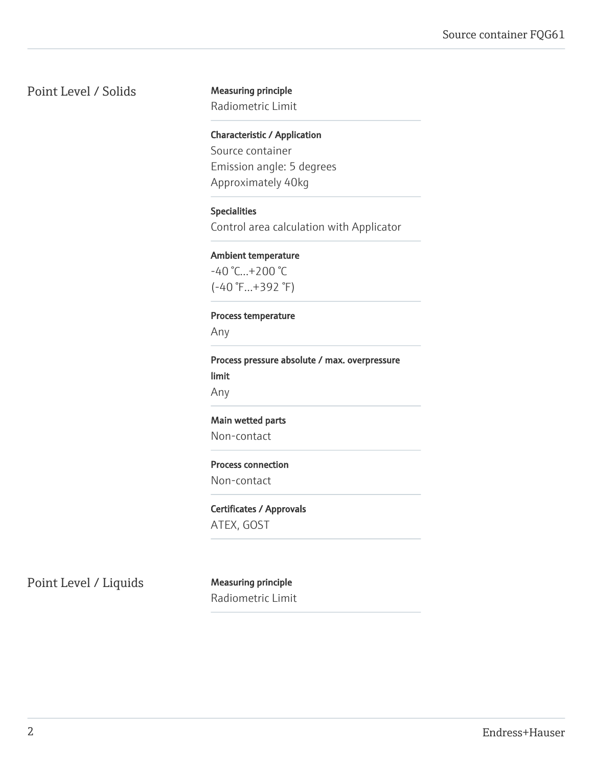## Point Level / Solids Measuring principle

Radiometric Limit

Characteristic / Application Source container Emission angle: 5 degrees Approximately 40kg

#### Specialities

Control area calculation with Applicator

#### Ambient temperature

-40 °C...+200 °C (-40 °F...+392 °F)

#### Process temperature

Any

Process pressure absolute / max. overpressure limit Any

#### Main wetted parts

Non-contact

#### Process connection

Non-contact

#### Certificates / Approvals

ATEX, GOST

Point Level / Liquids Measuring principle

Radiometric Limit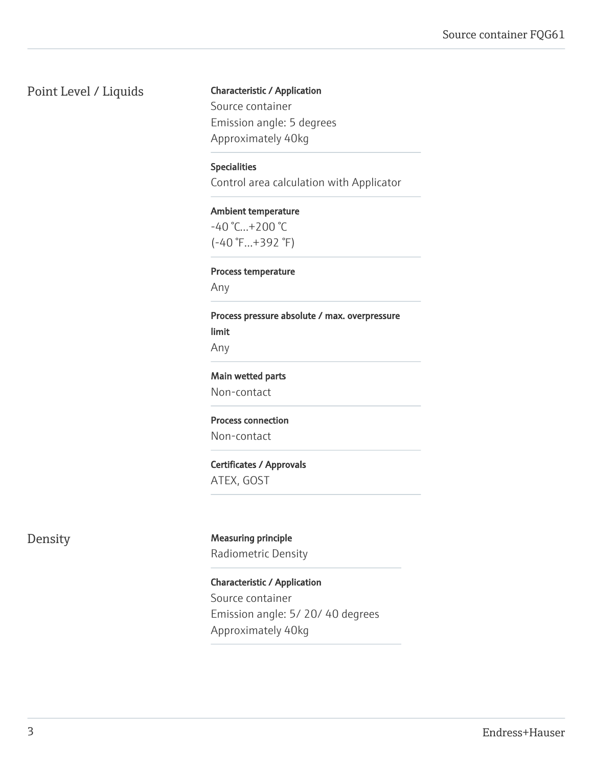## Point Level / Liquids

Characteristic / Application Source container Emission angle: 5 degrees Approximately 40kg

Specialities Control area calculation with Applicator

Ambient temperature  $-40$  °C... $+200$  °C (-40 °F...+392 °F)

Process temperature Any

Process pressure absolute / max. overpressure limit Any

Main wetted parts Non-contact

Process connection Non-contact

Certificates / Approvals ATEX, GOST

Density Measuring principle Radiometric Density

> Characteristic / Application Source container Emission angle: 5/ 20/ 40 degrees Approximately 40kg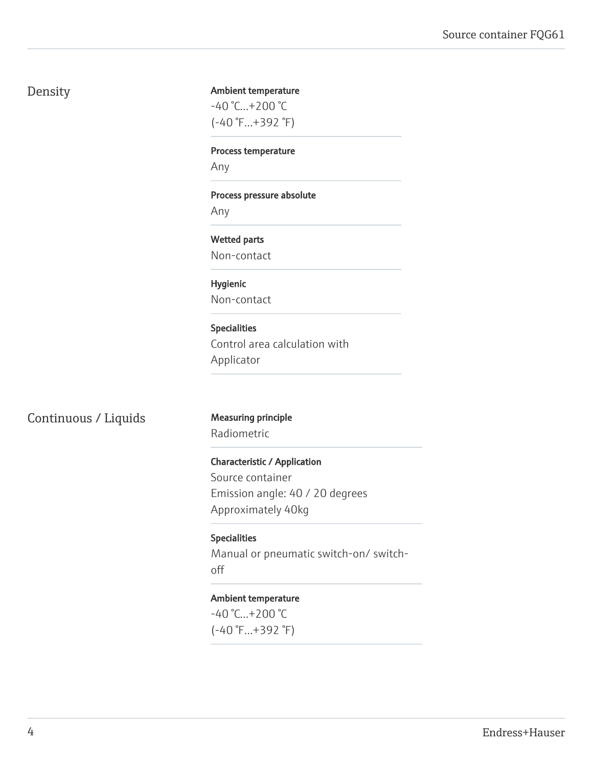# Density

#### Ambient temperature

-40 °C...+200 °C (-40 °F...+392 °F)

Process temperature

Any

Process pressure absolute

Any

Wetted parts Non-contact

Hygienic Non-contact

Specialities Control area calculation with Applicator

### Continuous / Liquids Measuring principle

Radiometric

Characteristic / Application

Source container Emission angle: 40 / 20 degrees Approximately 40kg

Specialities Manual or pneumatic switch-on/ switchoff

#### Ambient temperature

-40 °C...+200 °C (-40 °F...+392 °F)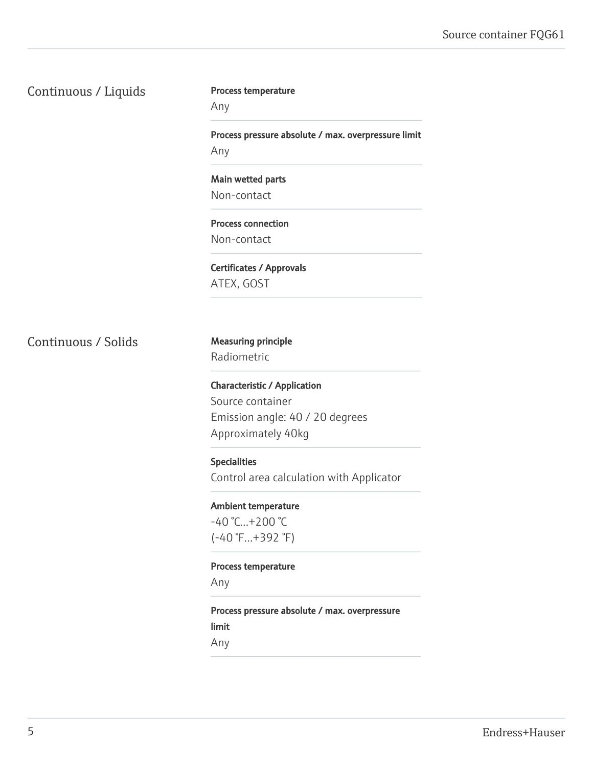### Source container FQG61

Continuous / Liquids

#### Process temperature

Any

Process pressure absolute / max. overpressure limit Any

Main wetted parts Non-contact

Process connection Non-contact

Certificates / Approvals ATEX, GOST

Continuous / Solids Measuring principle

Radiometric

Characteristic / Application Source container Emission angle: 40 / 20 degrees Approximately 40kg

#### Specialities

Control area calculation with Applicator

Ambient temperature -40 °C...+200 °C

(-40 °F...+392 °F)

Process temperature

Any

Process pressure absolute / max. overpressure limit Any